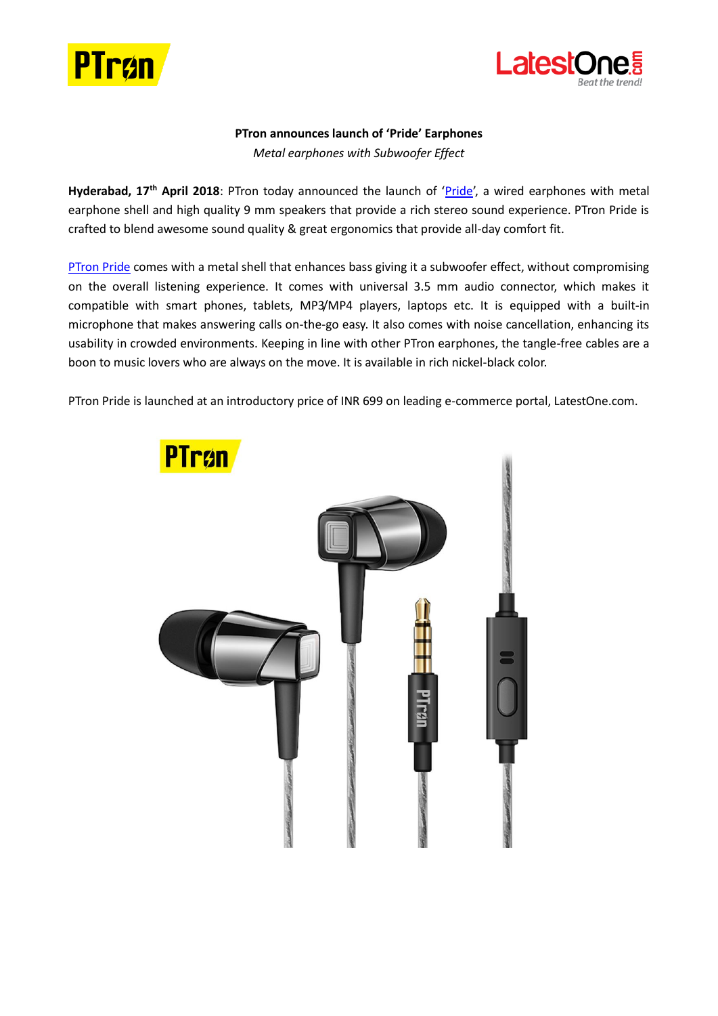



## **PTron announces launch of 'Pride' Earphones** *Metal earphones with Subwoofer Effect*

Hyderabad, 17<sup>th</sup> April 2018: PTron today announced the launch of '[Pride](https://www.latestone.com/ptron-pride-in-ea-headphone-with-noise-cancellation-for-all-smartphones-black-nickel)', a wired earphones with metal earphone shell and high quality 9 mm speakers that provide a rich stereo sound experience. PTron Pride is crafted to blend awesome sound quality & great ergonomics that provide all-day comfort fit.

[PTron Pride](https://www.latestone.com/ptron-pride-in-ea-headphone-with-noise-cancellation-for-all-smartphones-black-nickel) comes with a metal shell that enhances bass giving it a subwoofer effect, without compromising on the overall listening experience. It comes with universal 3.5 mm audio connector, which makes it compatible with smart phones, tablets, MP3/MP4 players, laptops etc. It is equipped with a built-in microphone that makes answering calls on-the-go easy. It also comes with noise cancellation, enhancing its usability in crowded environments. Keeping in line with other PTron earphones, the tangle-free cables are a boon to music lovers who are always on the move. It is available in rich nickel-black color.

PTron Pride is launched at an introductory price of INR 699 on leading e-commerce portal, LatestOne.com.